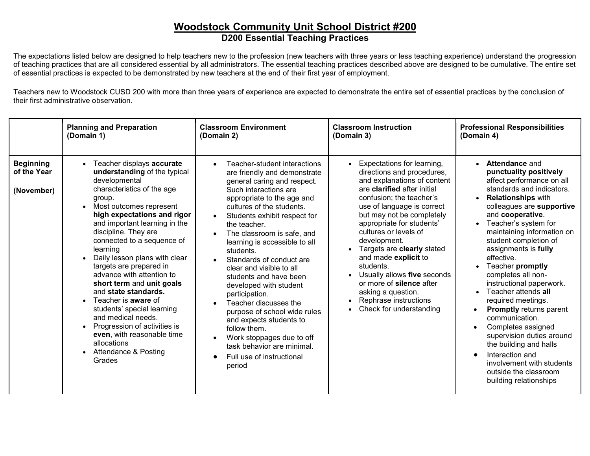## Woodstock Community Unit School District #200 D200 Essential Teaching Practices

The expectations listed below are designed to help teachers new to the profession (new teachers with three years or less teaching experience) understand the progression of teaching practices that are all considered essential by all administrators. The essential teaching practices described above are designed to be cumulative. The entire set of essential practices is expected to be demonstrated by new teachers at the end of their first year of employment.

Teachers new to Woodstock CUSD 200 with more than three years of experience are expected to demonstrate the entire set of essential practices by the conclusion of their first administrative observation.

|                                               | <b>Planning and Preparation</b>                                                                                                                                                                                                                                                                                                                                                                                                                                                                                                                                                                                                | <b>Classroom Environment</b>                                                                                                                                                                                                                                                                                                                                                                                                                                                                                                                                                                                                                    | <b>Classroom Instruction</b>                                                                                                                                                                                                                                                                                                                                                                                                                                                                                                                    | <b>Professional Responsibilities</b>                                                                                                                                                                                                                                                                                                                                                                                                                                                                                                                                                                                                                                                   |
|-----------------------------------------------|--------------------------------------------------------------------------------------------------------------------------------------------------------------------------------------------------------------------------------------------------------------------------------------------------------------------------------------------------------------------------------------------------------------------------------------------------------------------------------------------------------------------------------------------------------------------------------------------------------------------------------|-------------------------------------------------------------------------------------------------------------------------------------------------------------------------------------------------------------------------------------------------------------------------------------------------------------------------------------------------------------------------------------------------------------------------------------------------------------------------------------------------------------------------------------------------------------------------------------------------------------------------------------------------|-------------------------------------------------------------------------------------------------------------------------------------------------------------------------------------------------------------------------------------------------------------------------------------------------------------------------------------------------------------------------------------------------------------------------------------------------------------------------------------------------------------------------------------------------|----------------------------------------------------------------------------------------------------------------------------------------------------------------------------------------------------------------------------------------------------------------------------------------------------------------------------------------------------------------------------------------------------------------------------------------------------------------------------------------------------------------------------------------------------------------------------------------------------------------------------------------------------------------------------------------|
|                                               | (Domain 1)                                                                                                                                                                                                                                                                                                                                                                                                                                                                                                                                                                                                                     | (Domain 2)                                                                                                                                                                                                                                                                                                                                                                                                                                                                                                                                                                                                                                      | (Domain 3)                                                                                                                                                                                                                                                                                                                                                                                                                                                                                                                                      | (Domain 4)                                                                                                                                                                                                                                                                                                                                                                                                                                                                                                                                                                                                                                                                             |
| <b>Beginning</b><br>of the Year<br>(November) | Teacher displays accurate<br>understanding of the typical<br>developmental<br>characteristics of the age<br>group.<br>Most outcomes represent<br>high expectations and rigor<br>and important learning in the<br>discipline. They are<br>connected to a sequence of<br>learning<br>Daily lesson plans with clear<br>targets are prepared in<br>advance with attention to<br>short term and unit goals<br>and state standards.<br>Teacher is <b>aware</b> of<br>students' special learning<br>and medical needs.<br>Progression of activities is<br>even, with reasonable time<br>allocations<br>Attendance & Posting<br>Grades | Teacher-student interactions<br>are friendly and demonstrate<br>general caring and respect.<br>Such interactions are<br>appropriate to the age and<br>cultures of the students.<br>Students exhibit respect for<br>the teacher.<br>The classroom is safe, and<br>learning is accessible to all<br>students.<br>Standards of conduct are<br>clear and visible to all<br>students and have been<br>developed with student<br>participation.<br>Teacher discusses the<br>purpose of school wide rules<br>and expects students to<br>follow them.<br>Work stoppages due to off<br>task behavior are minimal.<br>Full use of instructional<br>period | Expectations for learning,<br>$\bullet$<br>directions and procedures,<br>and explanations of content<br>are clarified after initial<br>confusion; the teacher's<br>use of language is correct<br>but may not be completely<br>appropriate for students'<br>cultures or levels of<br>development.<br>Targets are clearly stated<br>$\bullet$<br>and made explicit to<br>students.<br>Usually allows five seconds<br>$\bullet$<br>or more of silence after<br>asking a question.<br>Rephrase instructions<br>$\bullet$<br>Check for understanding | Attendance and<br>$\bullet$<br>punctuality positively<br>affect performance on all<br>standards and indicators.<br><b>Relationships with</b><br>$\bullet$<br>colleagues are supportive<br>and cooperative.<br>Teacher's system for<br>maintaining information on<br>student completion of<br>assignments is fully<br>effective.<br>Teacher promptly<br>completes all non-<br>instructional paperwork.<br>Teacher attends all<br>required meetings.<br><b>Promptly returns parent</b><br>communication.<br>Completes assigned<br>supervision duties around<br>the building and halls<br>Interaction and<br>involvement with students<br>outside the classroom<br>building relationships |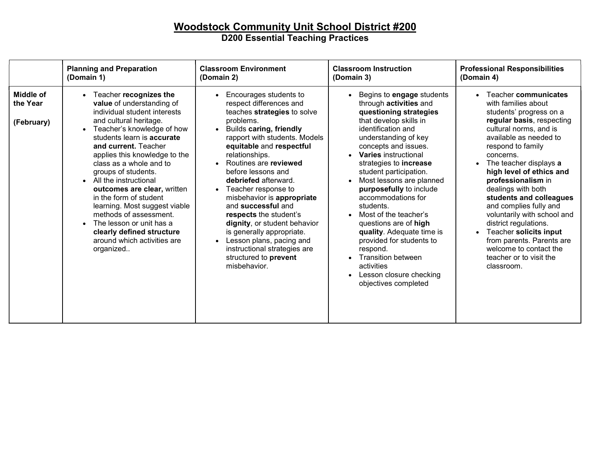## Woodstock Community Unit School District #200 D200 Essential Teaching Practices

|                                            | <b>Planning and Preparation</b>                                                                                                                                                                                                                                                                                                                                                                                                                                                                                                            | <b>Classroom Environment</b>                                                                                                                                                                                                                                                                                                                                                                                                                                                                                                                                                                        | <b>Classroom Instruction</b>                                                                                                                                                                                                                                                                                                                                                                                                                                                                                                                                                                  | <b>Professional Responsibilities</b>                                                                                                                                                                                                                                                                                                                                                                                                                                                                                                                                      |
|--------------------------------------------|--------------------------------------------------------------------------------------------------------------------------------------------------------------------------------------------------------------------------------------------------------------------------------------------------------------------------------------------------------------------------------------------------------------------------------------------------------------------------------------------------------------------------------------------|-----------------------------------------------------------------------------------------------------------------------------------------------------------------------------------------------------------------------------------------------------------------------------------------------------------------------------------------------------------------------------------------------------------------------------------------------------------------------------------------------------------------------------------------------------------------------------------------------------|-----------------------------------------------------------------------------------------------------------------------------------------------------------------------------------------------------------------------------------------------------------------------------------------------------------------------------------------------------------------------------------------------------------------------------------------------------------------------------------------------------------------------------------------------------------------------------------------------|---------------------------------------------------------------------------------------------------------------------------------------------------------------------------------------------------------------------------------------------------------------------------------------------------------------------------------------------------------------------------------------------------------------------------------------------------------------------------------------------------------------------------------------------------------------------------|
|                                            | (Domain 1)                                                                                                                                                                                                                                                                                                                                                                                                                                                                                                                                 | (Domain 2)                                                                                                                                                                                                                                                                                                                                                                                                                                                                                                                                                                                          | (Domain 3)                                                                                                                                                                                                                                                                                                                                                                                                                                                                                                                                                                                    | (Domain 4)                                                                                                                                                                                                                                                                                                                                                                                                                                                                                                                                                                |
| <b>Middle of</b><br>the Year<br>(February) | • Teacher recognizes the<br>value of understanding of<br>individual student interests<br>and cultural heritage.<br>Teacher's knowledge of how<br>students learn is accurate<br>and current. Teacher<br>applies this knowledge to the<br>class as a whole and to<br>groups of students.<br>• All the instructional<br>outcomes are clear, written<br>in the form of student<br>learning. Most suggest viable<br>methods of assessment.<br>The lesson or unit has a<br>clearly defined structure<br>around which activities are<br>organized | Encourages students to<br>respect differences and<br>teaches strategies to solve<br>problems.<br><b>Builds caring, friendly</b><br>$\bullet$<br>rapport with students. Models<br>equitable and respectful<br>relationships.<br>Routines are reviewed<br>before lessons and<br>debriefed afterward.<br>Teacher response to<br>$\bullet$<br>misbehavior is appropriate<br>and successful and<br>respects the student's<br>dignity, or student behavior<br>is generally appropriate.<br>Lesson plans, pacing and<br>$\bullet$<br>instructional strategies are<br>structured to prevent<br>misbehavior. | Begins to engage students<br>through <b>activities</b> and<br>questioning strategies<br>that develop skills in<br>identification and<br>understanding of key<br>concepts and issues.<br><b>Varies</b> instructional<br>strategies to <b>increase</b><br>student participation.<br>Most lessons are planned<br>purposefully to include<br>accommodations for<br>students.<br>Most of the teacher's<br>questions are of high<br>quality. Adequate time is<br>provided for students to<br>respond.<br><b>Transition between</b><br>activities<br>Lesson closure checking<br>objectives completed | Teacher communicates<br>$\bullet$<br>with families about<br>students' progress on a<br>regular basis, respecting<br>cultural norms, and is<br>available as needed to<br>respond to family<br>concerns.<br>The teacher displays a<br>$\bullet$<br>high level of ethics and<br>professionalism in<br>dealings with both<br>students and colleagues<br>and complies fully and<br>voluntarily with school and<br>district regulations.<br>Teacher solicits input<br>$\bullet$<br>from parents. Parents are<br>welcome to contact the<br>teacher or to visit the<br>classroom. |